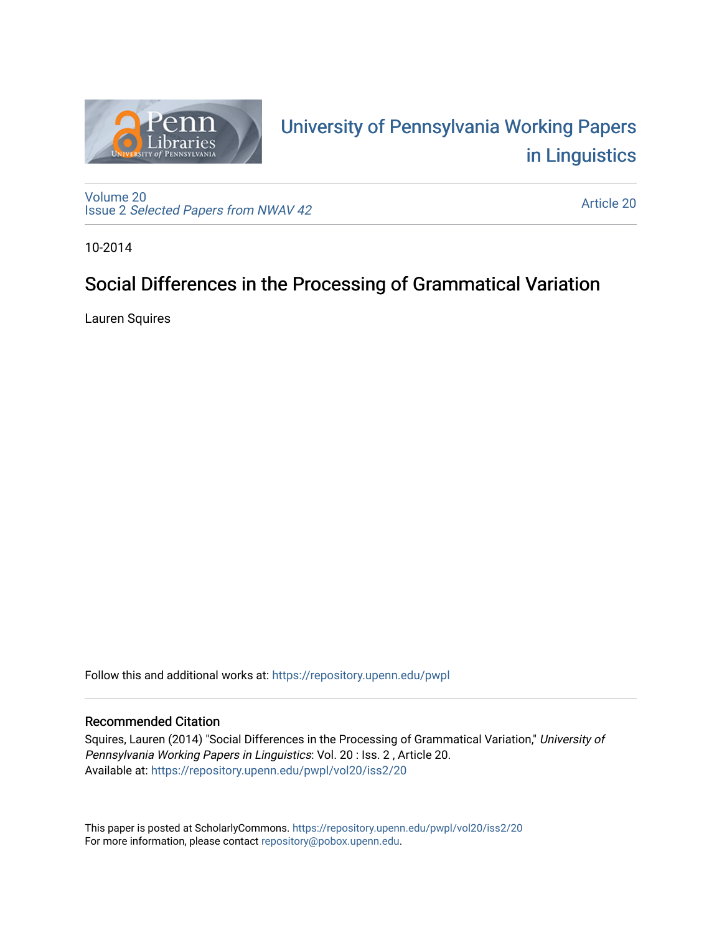

# University of P[ennsylvania Working P](https://repository.upenn.edu/pwpl)apers [in Linguistics](https://repository.upenn.edu/pwpl)

[Volume 20](https://repository.upenn.edu/pwpl/vol20) Issue 2 [Selected Papers from NWAV 42](https://repository.upenn.edu/pwpl/vol20/iss2) 

[Article 20](https://repository.upenn.edu/pwpl/vol20/iss2/20) 

10-2014

# Social Differences in the Processing of Grammatical Variation

Lauren Squires

Follow this and additional works at: [https://repository.upenn.edu/pwpl](https://repository.upenn.edu/pwpl?utm_source=repository.upenn.edu%2Fpwpl%2Fvol20%2Fiss2%2F20&utm_medium=PDF&utm_campaign=PDFCoverPages) 

### Recommended Citation

Squires, Lauren (2014) "Social Differences in the Processing of Grammatical Variation," University of Pennsylvania Working Papers in Linguistics: Vol. 20 : Iss. 2 , Article 20. Available at: [https://repository.upenn.edu/pwpl/vol20/iss2/20](https://repository.upenn.edu/pwpl/vol20/iss2/20?utm_source=repository.upenn.edu%2Fpwpl%2Fvol20%2Fiss2%2F20&utm_medium=PDF&utm_campaign=PDFCoverPages)

This paper is posted at ScholarlyCommons.<https://repository.upenn.edu/pwpl/vol20/iss2/20> For more information, please contact [repository@pobox.upenn.edu.](mailto:repository@pobox.upenn.edu)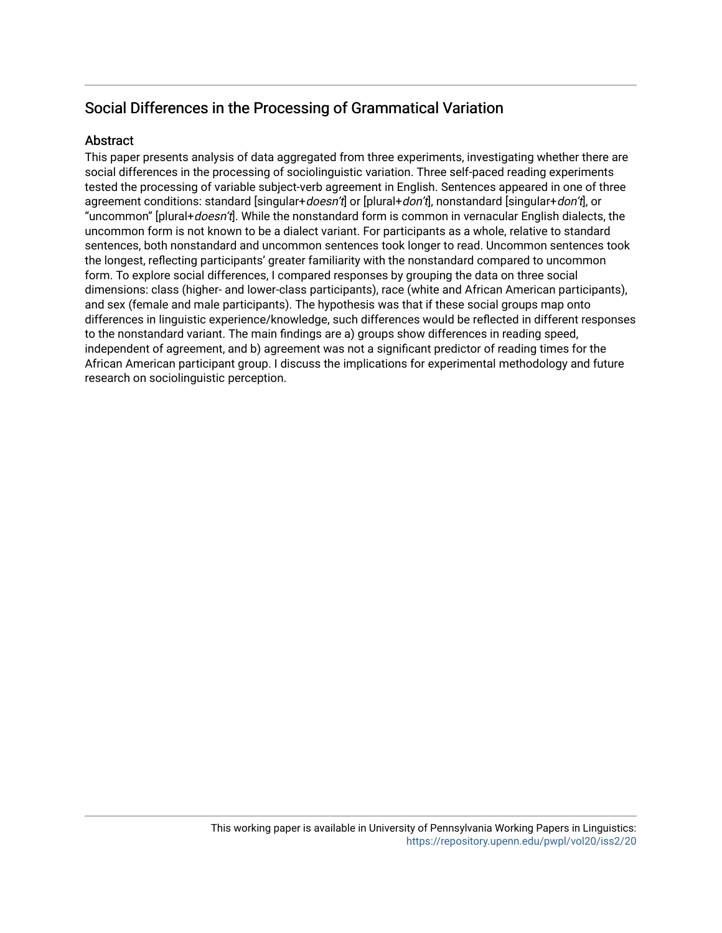# Social Differences in the Processing of Grammatical Variation

## **Abstract**

This paper presents analysis of data aggregated from three experiments, investigating whether there are social differences in the processing of sociolinguistic variation. Three self-paced reading experiments tested the processing of variable subject-verb agreement in English. Sentences appeared in one of three agreement conditions: standard [singular+*doesn't*] or [plural+*don't*], nonstandard [singular+*don't*], or "uncommon" [plural+doesn't]. While the nonstandard form is common in vernacular English dialects, the uncommon form is not known to be a dialect variant. For participants as a whole, relative to standard sentences, both nonstandard and uncommon sentences took longer to read. Uncommon sentences took the longest, reflecting participants' greater familiarity with the nonstandard compared to uncommon form. To explore social differences, I compared responses by grouping the data on three social dimensions: class (higher- and lower-class participants), race (white and African American participants), and sex (female and male participants). The hypothesis was that if these social groups map onto differences in linguistic experience/knowledge, such differences would be reflected in different responses to the nonstandard variant. The main findings are a) groups show differences in reading speed, independent of agreement, and b) agreement was not a significant predictor of reading times for the African American participant group. I discuss the implications for experimental methodology and future research on sociolinguistic perception.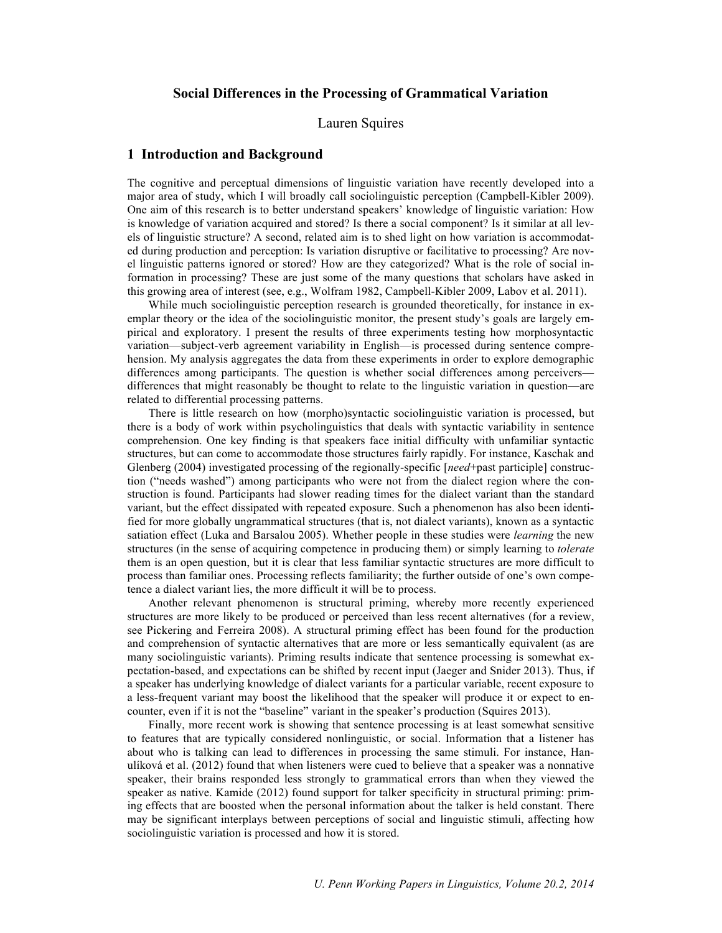#### **Social Differences in the Processing of Grammatical Variation**

Lauren Squires

#### **1 Introduction and Background**

The cognitive and perceptual dimensions of linguistic variation have recently developed into a major area of study, which I will broadly call sociolinguistic perception (Campbell-Kibler 2009). One aim of this research is to better understand speakers' knowledge of linguistic variation: How is knowledge of variation acquired and stored? Is there a social component? Is it similar at all levels of linguistic structure? A second, related aim is to shed light on how variation is accommodated during production and perception: Is variation disruptive or facilitative to processing? Are novel linguistic patterns ignored or stored? How are they categorized? What is the role of social information in processing? These are just some of the many questions that scholars have asked in this growing area of interest (see, e.g., Wolfram 1982, Campbell-Kibler 2009, Labov et al. 2011).

While much sociolinguistic perception research is grounded theoretically, for instance in exemplar theory or the idea of the sociolinguistic monitor, the present study's goals are largely empirical and exploratory. I present the results of three experiments testing how morphosyntactic variation—subject-verb agreement variability in English—is processed during sentence comprehension. My analysis aggregates the data from these experiments in order to explore demographic differences among participants. The question is whether social differences among perceivers differences that might reasonably be thought to relate to the linguistic variation in question—are related to differential processing patterns.

There is little research on how (morpho)syntactic sociolinguistic variation is processed, but there is a body of work within psycholinguistics that deals with syntactic variability in sentence comprehension. One key finding is that speakers face initial difficulty with unfamiliar syntactic structures, but can come to accommodate those structures fairly rapidly. For instance, Kaschak and Glenberg (2004) investigated processing of the regionally-specific [*need*+past participle] construction ("needs washed") among participants who were not from the dialect region where the construction is found. Participants had slower reading times for the dialect variant than the standard variant, but the effect dissipated with repeated exposure. Such a phenomenon has also been identified for more globally ungrammatical structures (that is, not dialect variants), known as a syntactic satiation effect (Luka and Barsalou 2005). Whether people in these studies were *learning* the new structures (in the sense of acquiring competence in producing them) or simply learning to *tolerate* them is an open question, but it is clear that less familiar syntactic structures are more difficult to process than familiar ones. Processing reflects familiarity; the further outside of one's own competence a dialect variant lies, the more difficult it will be to process.

Another relevant phenomenon is structural priming, whereby more recently experienced structures are more likely to be produced or perceived than less recent alternatives (for a review, see Pickering and Ferreira 2008). A structural priming effect has been found for the production and comprehension of syntactic alternatives that are more or less semantically equivalent (as are many sociolinguistic variants). Priming results indicate that sentence processing is somewhat expectation-based, and expectations can be shifted by recent input (Jaeger and Snider 2013). Thus, if a speaker has underlying knowledge of dialect variants for a particular variable, recent exposure to a less-frequent variant may boost the likelihood that the speaker will produce it or expect to encounter, even if it is not the "baseline" variant in the speaker's production (Squires 2013).

Finally, more recent work is showing that sentence processing is at least somewhat sensitive to features that are typically considered nonlinguistic, or social. Information that a listener has about who is talking can lead to differences in processing the same stimuli. For instance, Hanulíková et al. (2012) found that when listeners were cued to believe that a speaker was a nonnative speaker, their brains responded less strongly to grammatical errors than when they viewed the speaker as native. Kamide (2012) found support for talker specificity in structural priming: priming effects that are boosted when the personal information about the talker is held constant. There may be significant interplays between perceptions of social and linguistic stimuli, affecting how sociolinguistic variation is processed and how it is stored.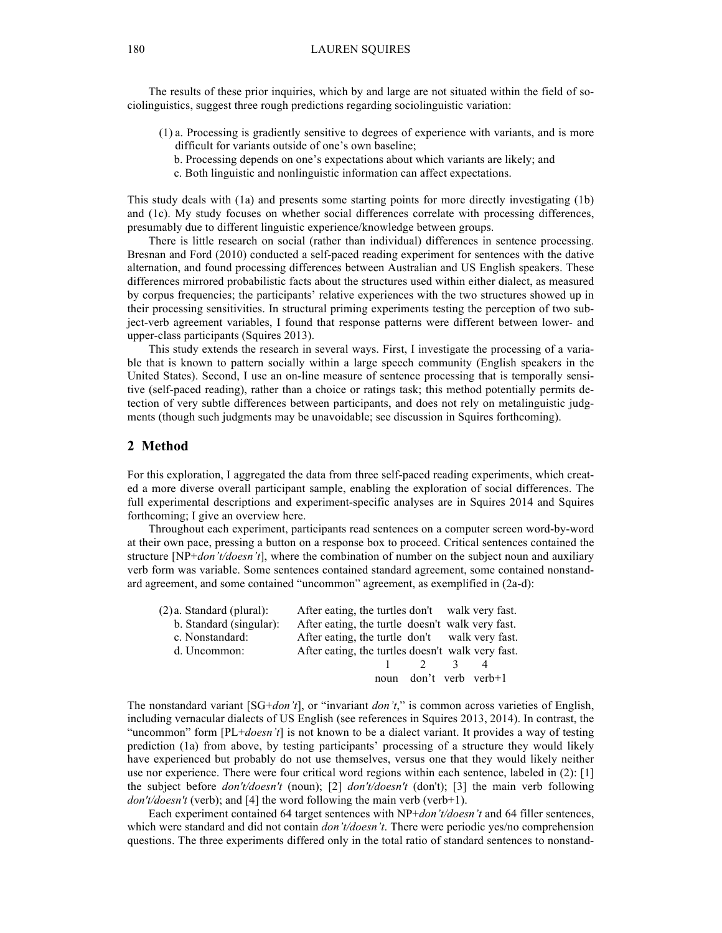The results of these prior inquiries, which by and large are not situated within the field of sociolinguistics, suggest three rough predictions regarding sociolinguistic variation:

- (1) a. Processing is gradiently sensitive to degrees of experience with variants, and is more difficult for variants outside of one's own baseline;
	- b. Processing depends on one's expectations about which variants are likely; and
	- c. Both linguistic and nonlinguistic information can affect expectations.

This study deals with (1a) and presents some starting points for more directly investigating (1b) and (1c). My study focuses on whether social differences correlate with processing differences, presumably due to different linguistic experience/knowledge between groups.

There is little research on social (rather than individual) differences in sentence processing. Bresnan and Ford (2010) conducted a self-paced reading experiment for sentences with the dative alternation, and found processing differences between Australian and US English speakers. These differences mirrored probabilistic facts about the structures used within either dialect, as measured by corpus frequencies; the participants' relative experiences with the two structures showed up in their processing sensitivities. In structural priming experiments testing the perception of two subject-verb agreement variables, I found that response patterns were different between lower- and upper-class participants (Squires 2013).

This study extends the research in several ways. First, I investigate the processing of a variable that is known to pattern socially within a large speech community (English speakers in the United States). Second, I use an on-line measure of sentence processing that is temporally sensitive (self-paced reading), rather than a choice or ratings task; this method potentially permits detection of very subtle differences between participants, and does not rely on metalinguistic judgments (though such judgments may be unavoidable; see discussion in Squires forthcoming).

#### **2 Method**

For this exploration, I aggregated the data from three self-paced reading experiments, which created a more diverse overall participant sample, enabling the exploration of social differences. The full experimental descriptions and experiment-specific analyses are in Squires 2014 and Squires forthcoming; I give an overview here.

Throughout each experiment, participants read sentences on a computer screen word-by-word at their own pace, pressing a button on a response box to proceed. Critical sentences contained the structure [NP+*don't/doesn't*], where the combination of number on the subject noun and auxiliary verb form was variable. Some sentences contained standard agreement, some contained nonstandard agreement, and some contained "uncommon" agreement, as exemplified in (2a-d):

| $(2)a$ . Standard (plural): | After eating, the turtles don't walk very fast.   |                        |               |  |
|-----------------------------|---------------------------------------------------|------------------------|---------------|--|
| b. Standard (singular):     | After eating, the turtle doesn't walk very fast.  |                        |               |  |
| c. Nonstandard:             | After eating, the turtle don't walk very fast.    |                        |               |  |
| d. Uncommon:                | After eating, the turtles doesn't walk very fast. |                        |               |  |
|                             |                                                   | $\overline{2}$         | $\mathcal{L}$ |  |
|                             |                                                   | noun don't verb verb+1 |               |  |
|                             |                                                   |                        |               |  |

The nonstandard variant [SG+*don't*], or "invariant *don't*," is common across varieties of English, including vernacular dialects of US English (see references in Squires 2013, 2014). In contrast, the "uncommon" form [PL+*doesn't*] is not known to be a dialect variant. It provides a way of testing prediction (1a) from above, by testing participants' processing of a structure they would likely have experienced but probably do not use themselves, versus one that they would likely neither use nor experience. There were four critical word regions within each sentence, labeled in (2): [1] the subject before *don't/doesn't* (noun); [2] *don't/doesn't* (don't); [3] the main verb following *don't/doesn't* (verb); and [4] the word following the main verb (verb+1).

Each experiment contained 64 target sentences with NP+*don't/doesn't* and 64 filler sentences, which were standard and did not contain *don't/doesn't*. There were periodic yes/no comprehension questions. The three experiments differed only in the total ratio of standard sentences to nonstand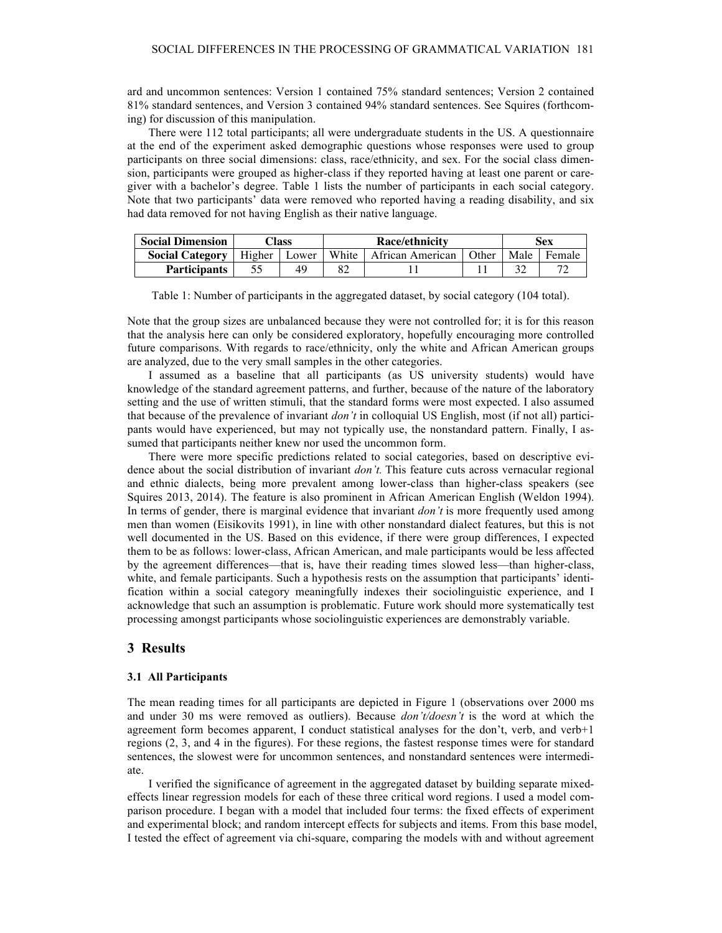ard and uncommon sentences: Version 1 contained 75% standard sentences; Version 2 contained 81% standard sentences, and Version 3 contained 94% standard sentences. See Squires (forthcoming) for discussion of this manipulation.

There were 112 total participants; all were undergraduate students in the US. A questionnaire at the end of the experiment asked demographic questions whose responses were used to group participants on three social dimensions: class, race/ethnicity, and sex. For the social class dimension, participants were grouped as higher-class if they reported having at least one parent or caregiver with a bachelor's degree. Table 1 lists the number of participants in each social category. Note that two participants' data were removed who reported having a reading disability, and six had data removed for not having English as their native language.

| <b>Social Dimension</b> |        | `lass | <b>Race/ethnicity</b> |                  |       | Sex  |        |  |
|-------------------------|--------|-------|-----------------------|------------------|-------|------|--------|--|
| <b>Social Category</b>  | Higher | Lower | White                 | African American | Other | Male | Female |  |
| <b>Participants</b>     |        |       | 82                    |                  |       |      |        |  |

Table 1: Number of participants in the aggregated dataset, by social category (104 total).

Note that the group sizes are unbalanced because they were not controlled for; it is for this reason that the analysis here can only be considered exploratory, hopefully encouraging more controlled future comparisons. With regards to race/ethnicity, only the white and African American groups are analyzed, due to the very small samples in the other categories.

I assumed as a baseline that all participants (as US university students) would have knowledge of the standard agreement patterns, and further, because of the nature of the laboratory setting and the use of written stimuli, that the standard forms were most expected. I also assumed that because of the prevalence of invariant *don't* in colloquial US English, most (if not all) participants would have experienced, but may not typically use, the nonstandard pattern. Finally, I assumed that participants neither knew nor used the uncommon form.

There were more specific predictions related to social categories, based on descriptive evidence about the social distribution of invariant *don't.* This feature cuts across vernacular regional and ethnic dialects, being more prevalent among lower-class than higher-class speakers (see Squires 2013, 2014). The feature is also prominent in African American English (Weldon 1994). In terms of gender, there is marginal evidence that invariant *don't* is more frequently used among men than women (Eisikovits 1991), in line with other nonstandard dialect features, but this is not well documented in the US. Based on this evidence, if there were group differences, I expected them to be as follows: lower-class, African American, and male participants would be less affected by the agreement differences—that is, have their reading times slowed less—than higher-class, white, and female participants. Such a hypothesis rests on the assumption that participants' identification within a social category meaningfully indexes their sociolinguistic experience, and I acknowledge that such an assumption is problematic. Future work should more systematically test processing amongst participants whose sociolinguistic experiences are demonstrably variable.

#### **3 Results**

#### **3.1 All Participants**

The mean reading times for all participants are depicted in Figure 1 (observations over 2000 ms and under 30 ms were removed as outliers). Because *don't/doesn't* is the word at which the agreement form becomes apparent, I conduct statistical analyses for the don't, verb, and verb+1 regions (2, 3, and 4 in the figures). For these regions, the fastest response times were for standard sentences, the slowest were for uncommon sentences, and nonstandard sentences were intermediate.

I verified the significance of agreement in the aggregated dataset by building separate mixedeffects linear regression models for each of these three critical word regions. I used a model comparison procedure. I began with a model that included four terms: the fixed effects of experiment and experimental block; and random intercept effects for subjects and items. From this base model, I tested the effect of agreement via chi-square, comparing the models with and without agreement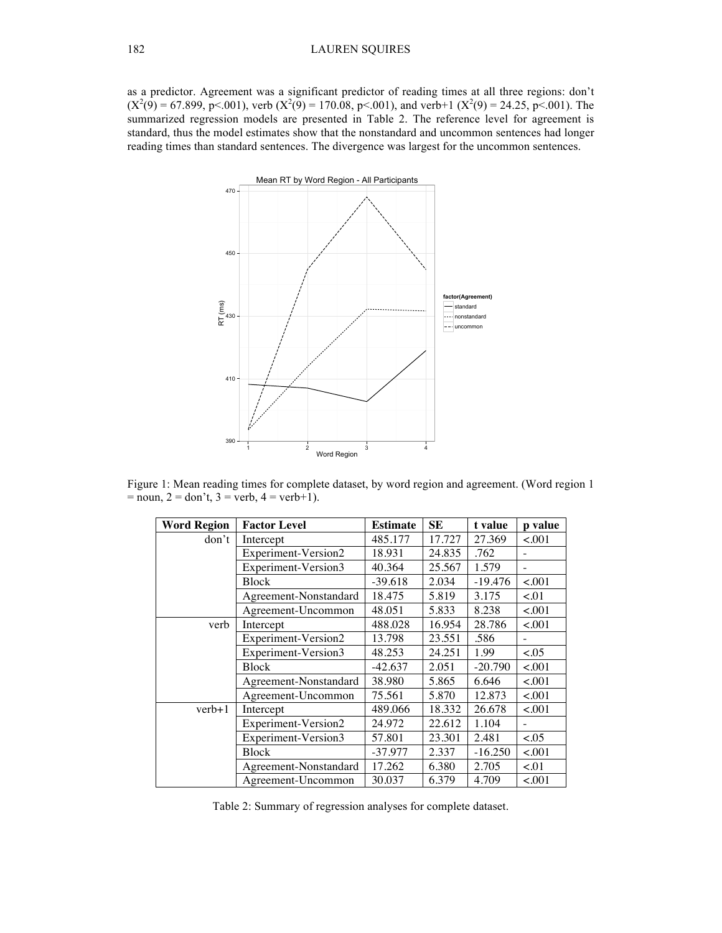as a predictor. Agreement was a significant predictor of reading times at all three regions: don't  $(X^2(9) = 67.899, p < 001)$ , verb  $(X^2(9) = 170.08, p < 001)$ , and verb+1  $(X^2(9) = 24.25, p < 001)$ . The summarized regression models are presented in Table 2. The reference level for agreement is standard, thus the model estimates show that the nonstandard and uncommon sentences had longer reading times than standard sentences. The divergence was largest for the uncommon sentences.



Figure 1: Mean reading times for complete dataset, by word region and agreement. (Word region 1  $=$  noun,  $2 =$  don't,  $3 =$  verb,  $4 =$  verb+1).

| <b>Word Region</b>    | <b>Factor Level</b>   | <b>Estimate</b> | <b>SE</b> | t value   | <b>p</b> value |
|-----------------------|-----------------------|-----------------|-----------|-----------|----------------|
| don't                 | Intercept             | 485.177         | 17.727    | 27.369    | < .001         |
|                       | Experiment-Version2   | 18.931          | 24.835    | .762      |                |
|                       | Experiment-Version3   | 40.364          | 25.567    | 1.579     |                |
|                       | <b>Block</b>          | $-39.618$       | 2.034     | $-19.476$ | < .001         |
|                       | Agreement-Nonstandard | 18.475          | 5.819     | 3.175     | < 0.01         |
|                       | Agreement-Uncommon    | 48.051          | 5.833     | 8.238     | < .001         |
| verb                  | Intercept             | 488.028         | 16.954    | 28.786    | < .001         |
|                       | Experiment-Version2   | 13.798          | 23.551    | .586      |                |
|                       | Experiment-Version3   | 48.253          | 24.251    | 1.99      | ${<}05$        |
|                       | <b>Block</b>          | $-42.637$       | 2.051     | $-20.790$ | < .001         |
|                       | Agreement-Nonstandard | 38.980          | 5.865     | 6.646     | < .001         |
|                       | Agreement-Uncommon    | 75.561          | 5.870     | 12.873    | < .001         |
| $verb+1$<br>Intercept |                       | 489.066         | 18.332    | 26.678    | < .001         |
|                       | Experiment-Version2   | 24.972          | 22.612    | 1.104     |                |
|                       | Experiment-Version3   | 57.801          | 23.301    | 2.481     | ${<}05$        |
|                       | <b>Block</b>          | $-37.977$       | 2.337     | $-16.250$ | < .001         |
|                       | Agreement-Nonstandard | 17.262          | 6.380     | 2.705     | < 01           |
|                       | Agreement-Uncommon    | 30.037          | 6.379     | 4.709     | < .001         |

Table 2: Summary of regression analyses for complete dataset.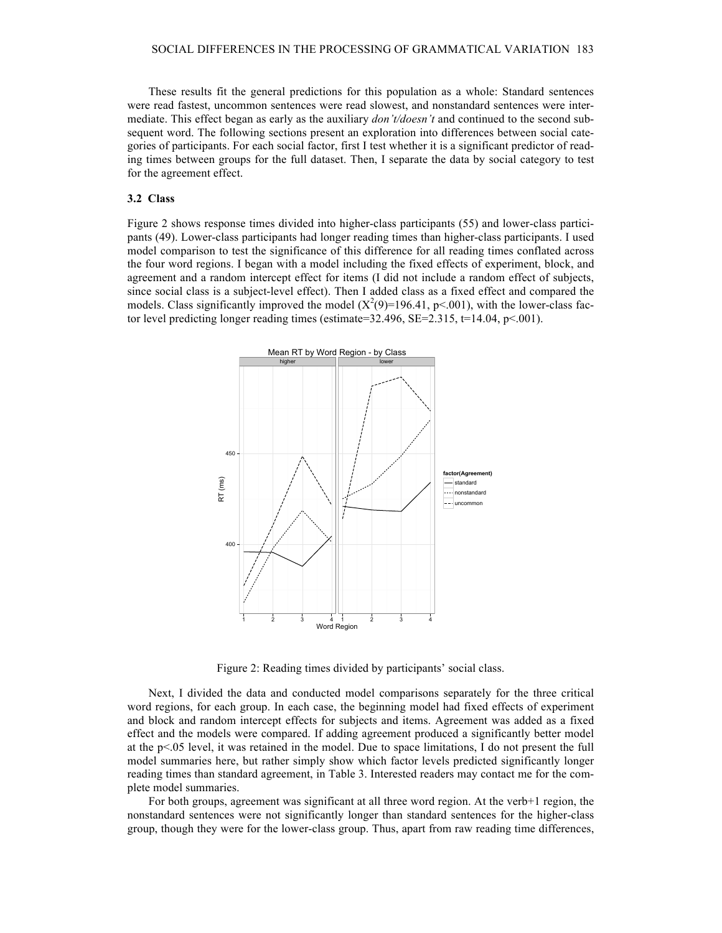These results fit the general predictions for this population as a whole: Standard sentences were read fastest, uncommon sentences were read slowest, and nonstandard sentences were intermediate. This effect began as early as the auxiliary *don't/doesn't* and continued to the second subsequent word. The following sections present an exploration into differences between social categories of participants. For each social factor, first I test whether it is a significant predictor of reading times between groups for the full dataset. Then, I separate the data by social category to test for the agreement effect.

#### **3.2 Class**

Figure 2 shows response times divided into higher-class participants (55) and lower-class participants (49). Lower-class participants had longer reading times than higher-class participants. I used model comparison to test the significance of this difference for all reading times conflated across the four word regions. I began with a model including the fixed effects of experiment, block, and agreement and a random intercept effect for items (I did not include a random effect of subjects, since social class is a subject-level effect). Then I added class as a fixed effect and compared the models. Class significantly improved the model  $(X^2(9)=196.41, p<.001)$ , with the lower-class factor level predicting longer reading times (estimate= $32.496$ , SE= $2.315$ , t= $14.04$ , p< $.001$ ).



Figure 2: Reading times divided by participants' social class.

Next, I divided the data and conducted model comparisons separately for the three critical word regions, for each group. In each case, the beginning model had fixed effects of experiment and block and random intercept effects for subjects and items. Agreement was added as a fixed effect and the models were compared. If adding agreement produced a significantly better model at the p<.05 level, it was retained in the model. Due to space limitations, I do not present the full model summaries here, but rather simply show which factor levels predicted significantly longer reading times than standard agreement, in Table 3. Interested readers may contact me for the complete model summaries.

For both groups, agreement was significant at all three word region. At the verb+1 region, the nonstandard sentences were not significantly longer than standard sentences for the higher-class group, though they were for the lower-class group. Thus, apart from raw reading time differences,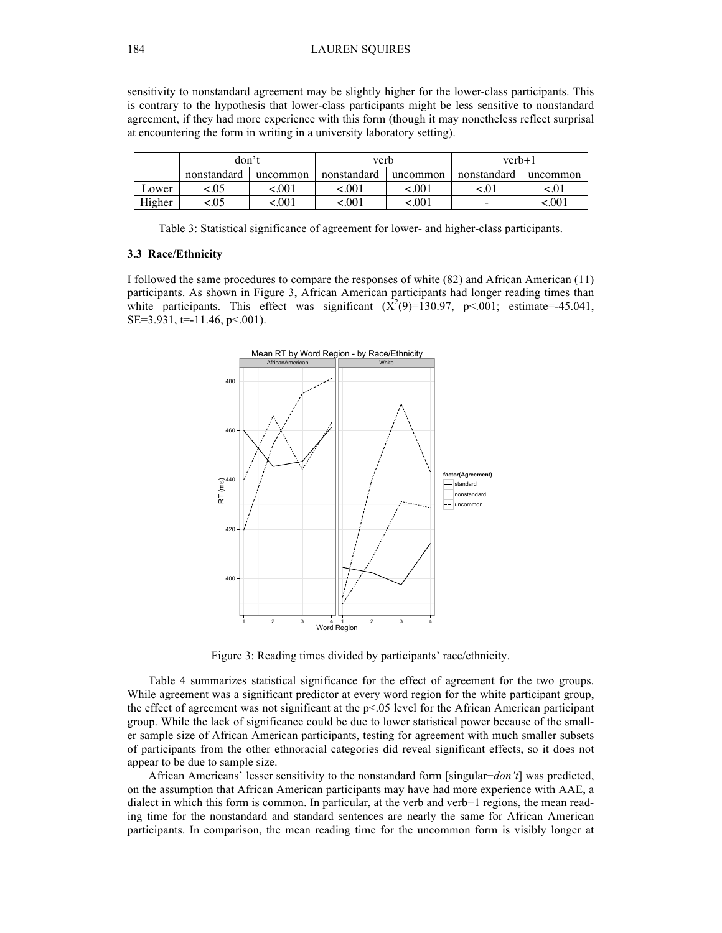sensitivity to nonstandard agreement may be slightly higher for the lower-class participants. This is contrary to the hypothesis that lower-class participants might be less sensitive to nonstandard agreement, if they had more experience with this form (though it may nonetheless reflect surprisal at encountering the form in writing in a university laboratory setting).

|        | don't       |          | verb        |          | $verb+1$    |          |
|--------|-------------|----------|-------------|----------|-------------|----------|
|        | nonstandard | uncommon | nonstandard | uncommon | nonstandard | uncommon |
| Lower  | 0.05        | <.001    | <.001       | <.001    | $\leq 0.$   | <.01     |
| Higher | .05         | <.001    | :.001       | 100.>    |             | 001.>    |

Table 3: Statistical significance of agreement for lower- and higher-class participants.

#### **3.3 Race/Ethnicity**

I followed the same procedures to compare the responses of white (82) and African American (11) participants. As shown in Figure 3, African American participants had longer reading times than white participants. This effect was significant  $(X^2(9)=130.97, p<.001$ ; estimate=-45.041, SE=3.931,  $t=11.46$ ,  $p<.001$ ).



Figure 3: Reading times divided by participants' race/ethnicity.

Table 4 summarizes statistical significance for the effect of agreement for the two groups. While agreement was a significant predictor at every word region for the white participant group, the effect of agreement was not significant at the p<.05 level for the African American participant group. While the lack of significance could be due to lower statistical power because of the smaller sample size of African American participants, testing for agreement with much smaller subsets of participants from the other ethnoracial categories did reveal significant effects, so it does not appear to be due to sample size.

African Americans' lesser sensitivity to the nonstandard form [singular+*don't*] was predicted, on the assumption that African American participants may have had more experience with AAE, a dialect in which this form is common. In particular, at the verb and verb+1 regions, the mean reading time for the nonstandard and standard sentences are nearly the same for African American participants. In comparison, the mean reading time for the uncommon form is visibly longer at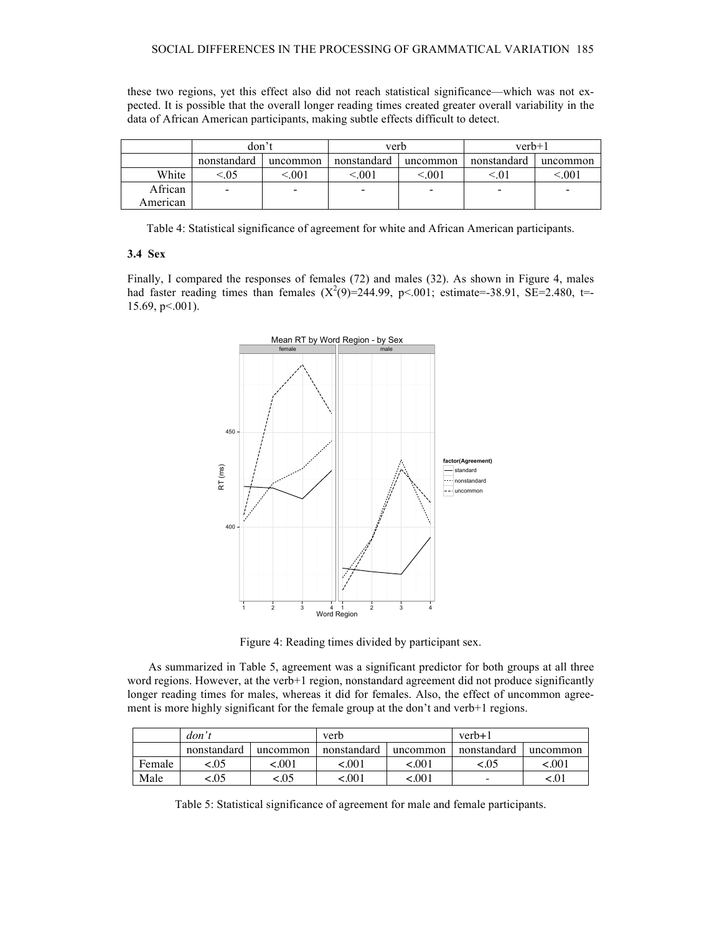these two regions, yet this effect also did not reach statistical significance—which was not expected. It is possible that the overall longer reading times created greater overall variability in the data of African American participants, making subtle effects difficult to detect.

|          | don't                    |          | verb        |                          | $verb+1$    |          |  |
|----------|--------------------------|----------|-------------|--------------------------|-------------|----------|--|
|          | nonstandard              | uncommon | nonstandard | uncommon                 | nonstandard | uncommon |  |
| White    | .05                      | ${<}001$ | ${<}001$    | $\leq 001$               |             | $.00\,$  |  |
| African  | $\overline{\phantom{0}}$ |          |             | $\overline{\phantom{a}}$ |             |          |  |
| American |                          |          |             |                          |             |          |  |

Table 4: Statistical significance of agreement for white and African American participants.

#### **3.4 Sex**

Finally, I compared the responses of females (72) and males (32). As shown in Figure 4, males had faster reading times than females  $(X^2(9)=244.99, p<.001$ ; estimate=-38.91, SE=2.480, t=-15.69, p<.001).



Figure 4: Reading times divided by participant sex.

As summarized in Table 5, agreement was a significant predictor for both groups at all three word regions. However, at the verb+1 region, nonstandard agreement did not produce significantly longer reading times for males, whereas it did for females. Also, the effect of uncommon agreement is more highly significant for the female group at the don't and verb+1 regions.

|        | don't       |          | verb        |          | $verb+1$    |          |
|--------|-------------|----------|-------------|----------|-------------|----------|
|        | nonstandard | uncommon | nonstandard | uncommon | nonstandard | uncommon |
| Female | 05.>        | 100.>    | 100.>       | 001.>    | <.0.        | :.001    |
| Male   | :.05        | :.05     | < 001       | 001.>    |             |          |

Table 5: Statistical significance of agreement for male and female participants.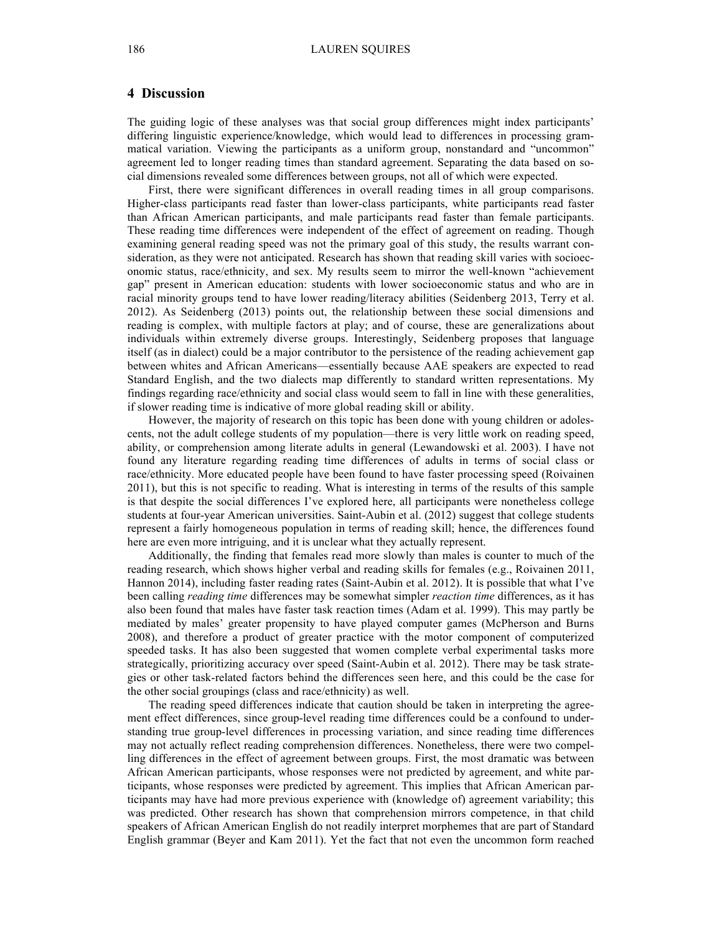### **4 Discussion**

The guiding logic of these analyses was that social group differences might index participants' differing linguistic experience/knowledge, which would lead to differences in processing grammatical variation. Viewing the participants as a uniform group, nonstandard and "uncommon" agreement led to longer reading times than standard agreement. Separating the data based on social dimensions revealed some differences between groups, not all of which were expected.

First, there were significant differences in overall reading times in all group comparisons. Higher-class participants read faster than lower-class participants, white participants read faster than African American participants, and male participants read faster than female participants. These reading time differences were independent of the effect of agreement on reading. Though examining general reading speed was not the primary goal of this study, the results warrant consideration, as they were not anticipated. Research has shown that reading skill varies with socioeconomic status, race/ethnicity, and sex. My results seem to mirror the well-known "achievement gap" present in American education: students with lower socioeconomic status and who are in racial minority groups tend to have lower reading/literacy abilities (Seidenberg 2013, Terry et al. 2012). As Seidenberg (2013) points out, the relationship between these social dimensions and reading is complex, with multiple factors at play; and of course, these are generalizations about individuals within extremely diverse groups. Interestingly, Seidenberg proposes that language itself (as in dialect) could be a major contributor to the persistence of the reading achievement gap between whites and African Americans—essentially because AAE speakers are expected to read Standard English, and the two dialects map differently to standard written representations. My findings regarding race/ethnicity and social class would seem to fall in line with these generalities, if slower reading time is indicative of more global reading skill or ability.

However, the majority of research on this topic has been done with young children or adolescents, not the adult college students of my population—there is very little work on reading speed, ability, or comprehension among literate adults in general (Lewandowski et al. 2003). I have not found any literature regarding reading time differences of adults in terms of social class or race/ethnicity. More educated people have been found to have faster processing speed (Roivainen 2011), but this is not specific to reading. What is interesting in terms of the results of this sample is that despite the social differences I've explored here, all participants were nonetheless college students at four-year American universities. Saint-Aubin et al. (2012) suggest that college students represent a fairly homogeneous population in terms of reading skill; hence, the differences found here are even more intriguing, and it is unclear what they actually represent.

Additionally, the finding that females read more slowly than males is counter to much of the reading research, which shows higher verbal and reading skills for females (e.g., Roivainen 2011, Hannon 2014), including faster reading rates (Saint-Aubin et al. 2012). It is possible that what I've been calling *reading time* differences may be somewhat simpler *reaction time* differences, as it has also been found that males have faster task reaction times (Adam et al. 1999). This may partly be mediated by males' greater propensity to have played computer games (McPherson and Burns 2008), and therefore a product of greater practice with the motor component of computerized speeded tasks. It has also been suggested that women complete verbal experimental tasks more strategically, prioritizing accuracy over speed (Saint-Aubin et al. 2012). There may be task strategies or other task-related factors behind the differences seen here, and this could be the case for the other social groupings (class and race/ethnicity) as well.

The reading speed differences indicate that caution should be taken in interpreting the agreement effect differences, since group-level reading time differences could be a confound to understanding true group-level differences in processing variation, and since reading time differences may not actually reflect reading comprehension differences. Nonetheless, there were two compelling differences in the effect of agreement between groups. First, the most dramatic was between African American participants, whose responses were not predicted by agreement, and white participants, whose responses were predicted by agreement. This implies that African American participants may have had more previous experience with (knowledge of) agreement variability; this was predicted. Other research has shown that comprehension mirrors competence, in that child speakers of African American English do not readily interpret morphemes that are part of Standard English grammar (Beyer and Kam 2011). Yet the fact that not even the uncommon form reached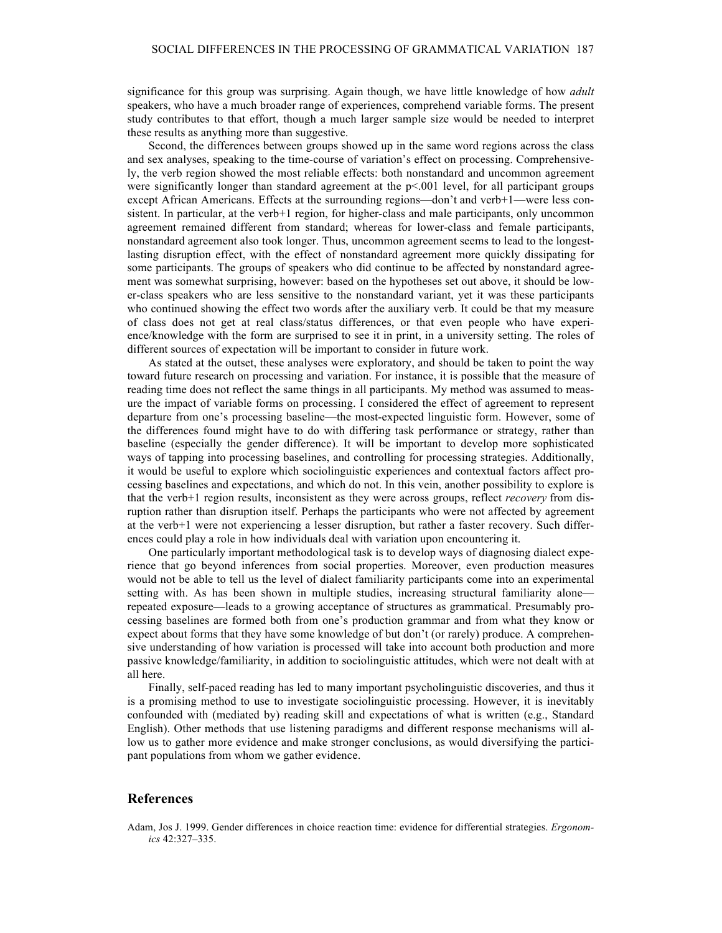significance for this group was surprising. Again though, we have little knowledge of how *adult*  speakers, who have a much broader range of experiences, comprehend variable forms. The present study contributes to that effort, though a much larger sample size would be needed to interpret these results as anything more than suggestive.

Second, the differences between groups showed up in the same word regions across the class and sex analyses, speaking to the time-course of variation's effect on processing. Comprehensively, the verb region showed the most reliable effects: both nonstandard and uncommon agreement were significantly longer than standard agreement at the  $p<.001$  level, for all participant groups except African Americans. Effects at the surrounding regions—don't and verb+1—were less consistent. In particular, at the verb+1 region, for higher-class and male participants, only uncommon agreement remained different from standard; whereas for lower-class and female participants, nonstandard agreement also took longer. Thus, uncommon agreement seems to lead to the longestlasting disruption effect, with the effect of nonstandard agreement more quickly dissipating for some participants. The groups of speakers who did continue to be affected by nonstandard agreement was somewhat surprising, however: based on the hypotheses set out above, it should be lower-class speakers who are less sensitive to the nonstandard variant, yet it was these participants who continued showing the effect two words after the auxiliary verb. It could be that my measure of class does not get at real class/status differences, or that even people who have experience/knowledge with the form are surprised to see it in print, in a university setting. The roles of different sources of expectation will be important to consider in future work.

As stated at the outset, these analyses were exploratory, and should be taken to point the way toward future research on processing and variation. For instance, it is possible that the measure of reading time does not reflect the same things in all participants. My method was assumed to measure the impact of variable forms on processing. I considered the effect of agreement to represent departure from one's processing baseline—the most-expected linguistic form. However, some of the differences found might have to do with differing task performance or strategy, rather than baseline (especially the gender difference). It will be important to develop more sophisticated ways of tapping into processing baselines, and controlling for processing strategies. Additionally, it would be useful to explore which sociolinguistic experiences and contextual factors affect processing baselines and expectations, and which do not. In this vein, another possibility to explore is that the verb+1 region results, inconsistent as they were across groups, reflect *recovery* from disruption rather than disruption itself. Perhaps the participants who were not affected by agreement at the verb+1 were not experiencing a lesser disruption, but rather a faster recovery. Such differences could play a role in how individuals deal with variation upon encountering it.

One particularly important methodological task is to develop ways of diagnosing dialect experience that go beyond inferences from social properties. Moreover, even production measures would not be able to tell us the level of dialect familiarity participants come into an experimental setting with. As has been shown in multiple studies, increasing structural familiarity alone repeated exposure—leads to a growing acceptance of structures as grammatical. Presumably processing baselines are formed both from one's production grammar and from what they know or expect about forms that they have some knowledge of but don't (or rarely) produce. A comprehensive understanding of how variation is processed will take into account both production and more passive knowledge/familiarity, in addition to sociolinguistic attitudes, which were not dealt with at all here.

Finally, self-paced reading has led to many important psycholinguistic discoveries, and thus it is a promising method to use to investigate sociolinguistic processing. However, it is inevitably confounded with (mediated by) reading skill and expectations of what is written (e.g., Standard English). Other methods that use listening paradigms and different response mechanisms will allow us to gather more evidence and make stronger conclusions, as would diversifying the participant populations from whom we gather evidence.

#### **References**

Adam, Jos J. 1999. Gender differences in choice reaction time: evidence for differential strategies. *Ergonomics* 42:327–335.